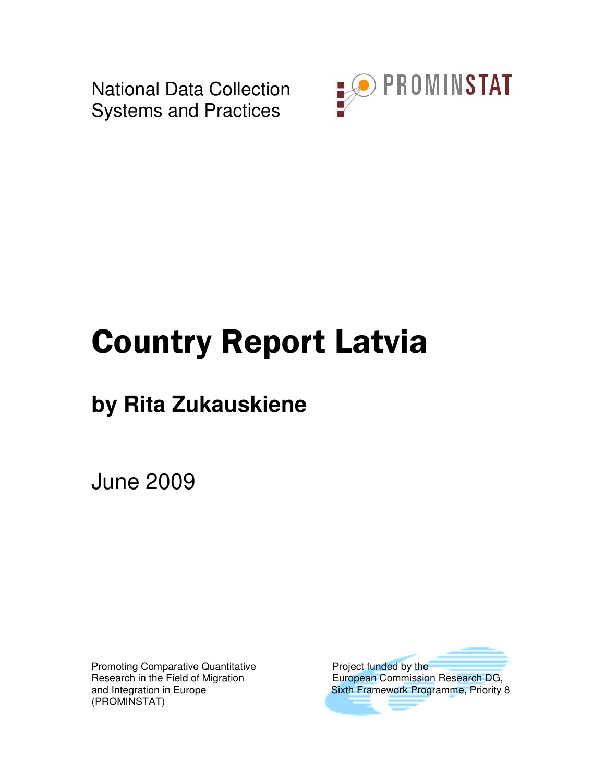National Data Collection Systems and Practices



# Country Report Latvia

# **by Rita Zukauskiene**

June 2009

Promoting Comparative Quantitative **Profile Accord Project** funded by the (PROMINSTAT)

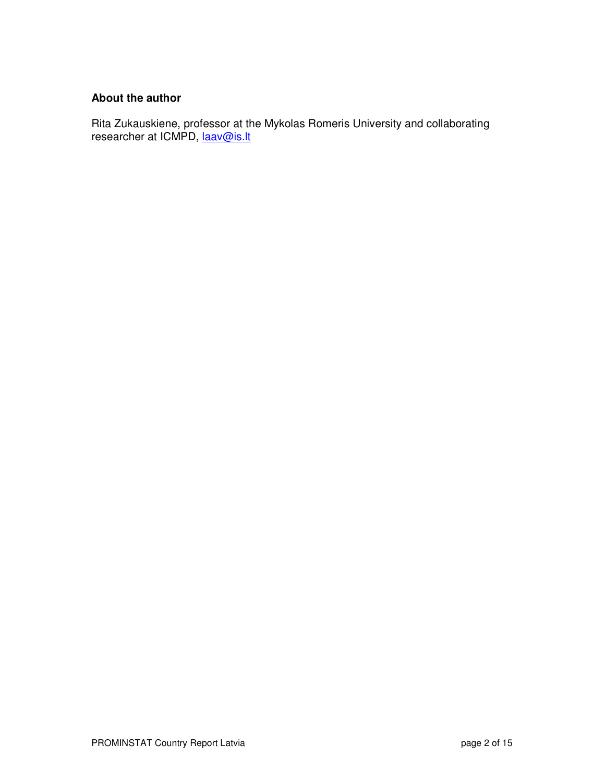#### **About the author**

Rita Zukauskiene, professor at the Mykolas Romeris University and collaborating researcher at ICMPD, laav@is.lt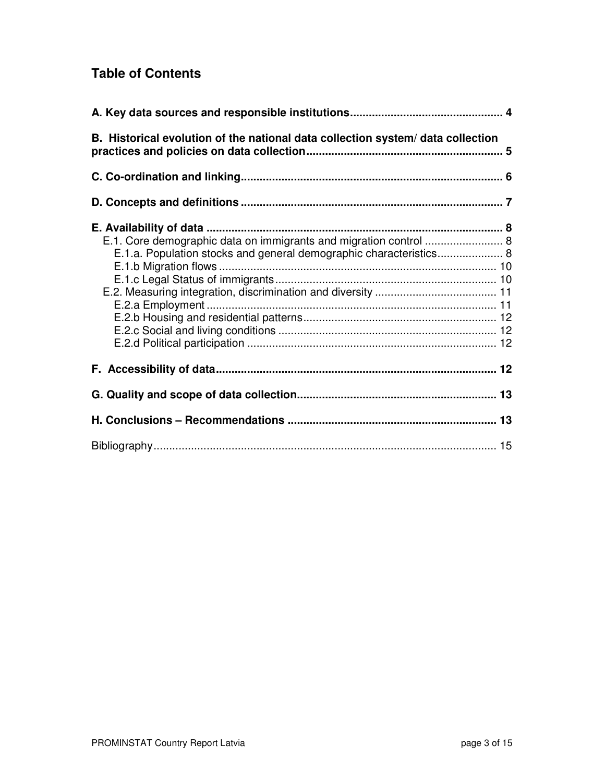# **Table of Contents**

| B. Historical evolution of the national data collection system/data collection                                                          |  |
|-----------------------------------------------------------------------------------------------------------------------------------------|--|
|                                                                                                                                         |  |
|                                                                                                                                         |  |
| E.1. Core demographic data on immigrants and migration control  8<br>E.1.a. Population stocks and general demographic characteristics 8 |  |
|                                                                                                                                         |  |
|                                                                                                                                         |  |
|                                                                                                                                         |  |
|                                                                                                                                         |  |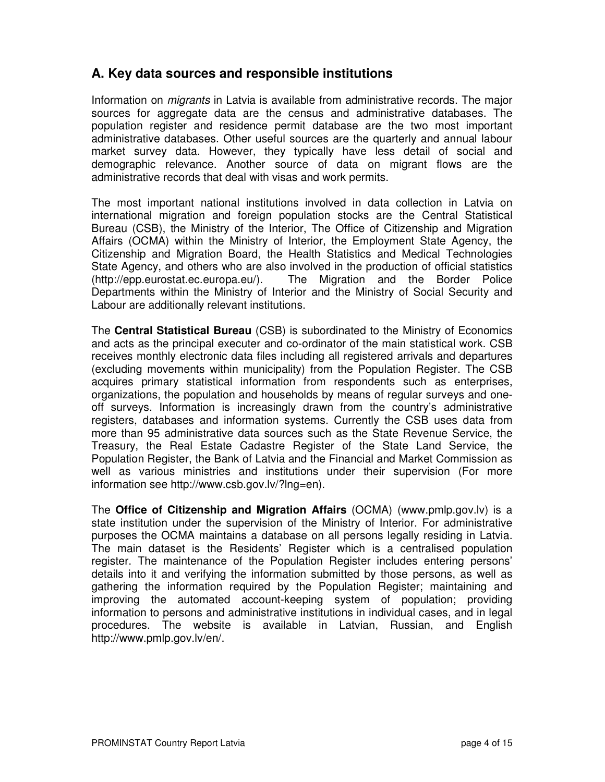## **A. Key data sources and responsible institutions**

Information on migrants in Latvia is available from administrative records. The major sources for aggregate data are the census and administrative databases. The population register and residence permit database are the two most important administrative databases. Other useful sources are the quarterly and annual labour market survey data. However, they typically have less detail of social and demographic relevance. Another source of data on migrant flows are the administrative records that deal with visas and work permits.

The most important national institutions involved in data collection in Latvia on international migration and foreign population stocks are the Central Statistical Bureau (CSB), the Ministry of the Interior, The Office of Citizenship and Migration Affairs (OCMA) within the Ministry of Interior, the Employment State Agency, the Citizenship and Migration Board, the Health Statistics and Medical Technologies State Agency, and others who are also involved in the production of official statistics (http://epp.eurostat.ec.europa.eu/). The Migration and the Border Police Departments within the Ministry of Interior and the Ministry of Social Security and Labour are additionally relevant institutions.

The **Central Statistical Bureau** (CSB) is subordinated to the Ministry of Economics and acts as the principal executer and co-ordinator of the main statistical work. CSB receives monthly electronic data files including all registered arrivals and departures (excluding movements within municipality) from the Population Register. The CSB acquires primary statistical information from respondents such as enterprises, organizations, the population and households by means of regular surveys and oneoff surveys. Information is increasingly drawn from the country's administrative registers, databases and information systems. Currently the CSB uses data from more than 95 administrative data sources such as the State Revenue Service, the Treasury, the Real Estate Cadastre Register of the State Land Service, the Population Register, the Bank of Latvia and the Financial and Market Commission as well as various ministries and institutions under their supervision (For more information see http://www.csb.gov.lv/?lng=en).

The **Office of Citizenship and Migration Affairs** (OCMA) (www.pmlp.gov.lv) is a state institution under the supervision of the Ministry of Interior. For administrative purposes the OCMA maintains a database on all persons legally residing in Latvia. The main dataset is the Residents' Register which is a centralised population register. The maintenance of the Population Register includes entering persons' details into it and verifying the information submitted by those persons, as well as gathering the information required by the Population Register; maintaining and improving the automated account-keeping system of population; providing information to persons and administrative institutions in individual cases, and in legal procedures. The website is available in Latvian, Russian, and English http://www.pmlp.gov.lv/en/.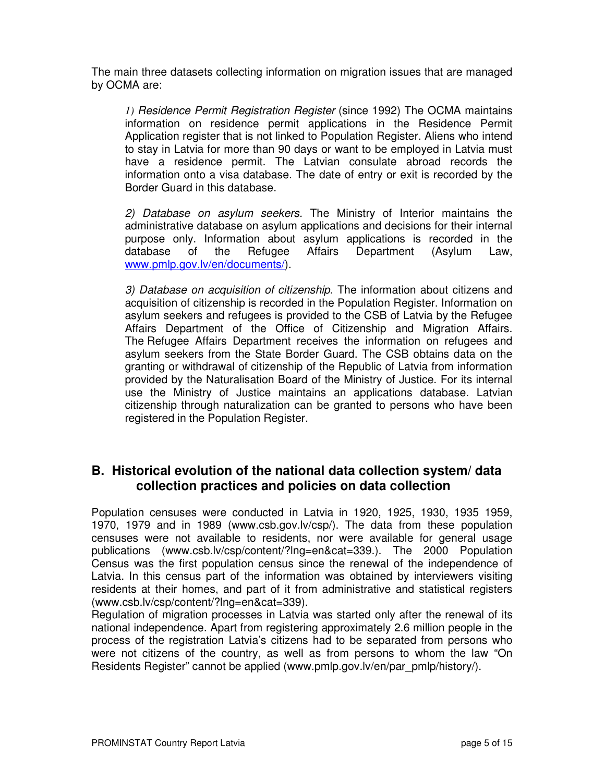The main three datasets collecting information on migration issues that are managed by OCMA are:

*1)* Residence Permit Registration Register (since 1992) The OCMA maintains information on residence permit applications in the Residence Permit Application register that is not linked to Population Register. Aliens who intend to stay in Latvia for more than 90 days or want to be employed in Latvia must have a residence permit. The Latvian consulate abroad records the information onto a visa database. The date of entry or exit is recorded by the Border Guard in this database.

2) Database on asylum seekers. The Ministry of Interior maintains the administrative database on asylum applications and decisions for their internal purpose only. Information about asylum applications is recorded in the database of the Refugee Affairs Department (Asylum Law, www.pmlp.gov.lv/en/documents/).

3) Database on acquisition of citizenship. The information about citizens and acquisition of citizenship is recorded in the Population Register. Information on asylum seekers and refugees is provided to the CSB of Latvia by the Refugee Affairs Department of the Office of Citizenship and Migration Affairs. The Refugee Affairs Department receives the information on refugees and asylum seekers from the State Border Guard. The CSB obtains data on the granting or withdrawal of citizenship of the Republic of Latvia from information provided by the Naturalisation Board of the Ministry of Justice. For its internal use the Ministry of Justice maintains an applications database. Latvian citizenship through naturalization can be granted to persons who have been registered in the Population Register.

### **B. Historical evolution of the national data collection system/ data collection practices and policies on data collection**

Population censuses were conducted in Latvia in 1920, 1925, 1930, 1935 1959, 1970, 1979 and in 1989 (www.csb.gov.lv/csp/). The data from these population censuses were not available to residents, nor were available for general usage publications (www.csb.lv/csp/content/?lng=en&cat=339.). The 2000 Population Census was the first population census since the renewal of the independence of Latvia. In this census part of the information was obtained by interviewers visiting residents at their homes, and part of it from administrative and statistical registers (www.csb.lv/csp/content/?lng=en&cat=339).

Regulation of migration processes in Latvia was started only after the renewal of its national independence. Apart from registering approximately 2.6 million people in the process of the registration Latvia's citizens had to be separated from persons who were not citizens of the country, as well as from persons to whom the law "On Residents Register" cannot be applied (www.pmlp.gov.lv/en/par\_pmlp/history/).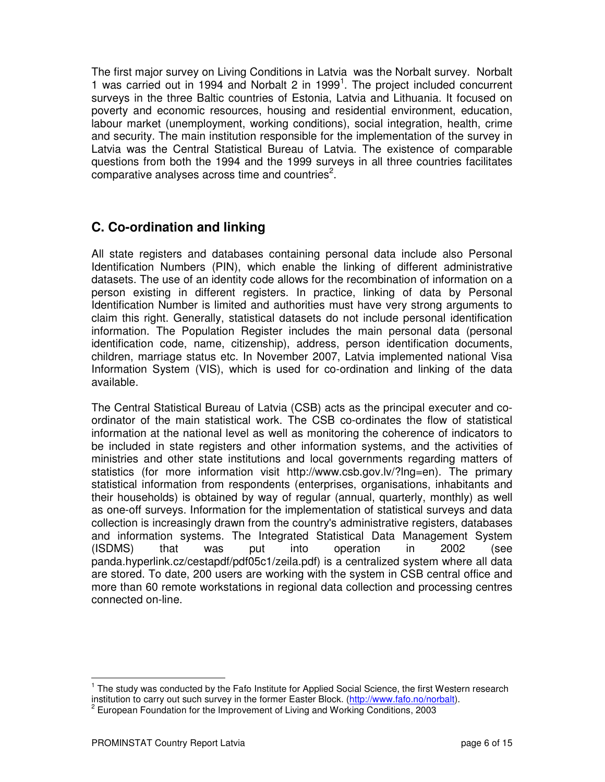The first major survey on Living Conditions in Latvia was the Norbalt survey. Norbalt 1 was carried out in 1994 and Norbalt 2 in 1999<sup>1</sup>. The project included concurrent surveys in the three Baltic countries of Estonia, Latvia and Lithuania. It focused on poverty and economic resources, housing and residential environment, education, labour market (unemployment, working conditions), social integration, health, crime and security. The main institution responsible for the implementation of the survey in Latvia was the Central Statistical Bureau of Latvia. The existence of comparable questions from both the 1994 and the 1999 surveys in all three countries facilitates comparative analyses across time and countries<sup>2</sup>.

# **C. Co-ordination and linking**

All state registers and databases containing personal data include also Personal Identification Numbers (PIN), which enable the linking of different administrative datasets. The use of an identity code allows for the recombination of information on a person existing in different registers. In practice, linking of data by Personal Identification Number is limited and authorities must have very strong arguments to claim this right. Generally, statistical datasets do not include personal identification information. The Population Register includes the main personal data (personal identification code, name, citizenship), address, person identification documents, children, marriage status etc. In November 2007, Latvia implemented national Visa Information System (VIS), which is used for co-ordination and linking of the data available.

The Central Statistical Bureau of Latvia (CSB) acts as the principal executer and coordinator of the main statistical work. The CSB co-ordinates the flow of statistical information at the national level as well as monitoring the coherence of indicators to be included in state registers and other information systems, and the activities of ministries and other state institutions and local governments regarding matters of statistics (for more information visit http://www.csb.gov.lv/?lng=en). The primary statistical information from respondents (enterprises, organisations, inhabitants and their households) is obtained by way of regular (annual, quarterly, monthly) as well as one-off surveys. Information for the implementation of statistical surveys and data collection is increasingly drawn from the country's administrative registers, databases and information systems. The Integrated Statistical Data Management System (ISDMS) that was put into operation in 2002 (see panda.hyperlink.cz/cestapdf/pdf05c1/zeila.pdf) is a centralized system where all data are stored. To date, 200 users are working with the system in CSB central office and more than 60 remote workstations in regional data collection and processing centres connected on-line.

l

<sup>&</sup>lt;sup>1</sup> The study was conducted by the Fafo Institute for Applied Social Science, the first Western research institution to carry out such survey in the former Easter Block. (http://www.fafo.no/norbalt).

<sup>&</sup>lt;sup>2</sup> European Foundation for the Improvement of Living and Working Conditions, 2003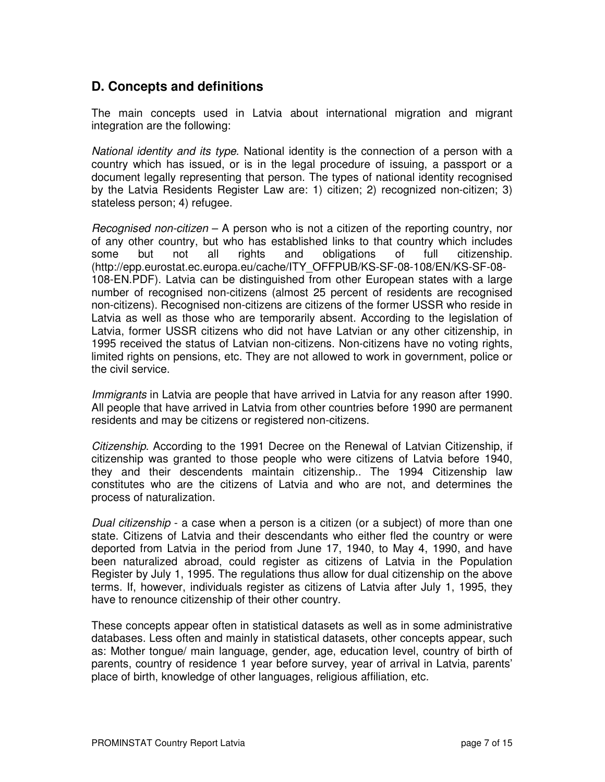# **D. Concepts and definitions**

The main concepts used in Latvia about international migration and migrant integration are the following:

National identity and its type. National identity is the connection of a person with a country which has issued, or is in the legal procedure of issuing, a passport or a document legally representing that person. The types of national identity recognised by the Latvia Residents Register Law are: 1) citizen; 2) recognized non-citizen; 3) stateless person; 4) refugee.

Recognised non-citizen – A person who is not a citizen of the reporting country, nor of any other country, but who has established links to that country which includes some but not all rights and obligations of full citizenship. (http://epp.eurostat.ec.europa.eu/cache/ITY\_OFFPUB/KS-SF-08-108/EN/KS-SF-08- 108-EN.PDF). Latvia can be distinguished from other European states with a large number of recognised non-citizens (almost 25 percent of residents are recognised non-citizens). Recognised non-citizens are citizens of the former USSR who reside in Latvia as well as those who are temporarily absent. According to the legislation of Latvia, former USSR citizens who did not have Latvian or any other citizenship, in 1995 received the status of Latvian non-citizens. Non-citizens have no voting rights, limited rights on pensions, etc. They are not allowed to work in government, police or the civil service.

Immigrants in Latvia are people that have arrived in Latvia for any reason after 1990. All people that have arrived in Latvia from other countries before 1990 are permanent residents and may be citizens or registered non-citizens.

Citizenship. According to the 1991 Decree on the Renewal of Latvian Citizenship, if citizenship was granted to those people who were citizens of Latvia before 1940, they and their descendents maintain citizenship.. The 1994 Citizenship law constitutes who are the citizens of Latvia and who are not, and determines the process of naturalization.

Dual citizenship - a case when a person is a citizen (or a subject) of more than one state. Citizens of Latvia and their descendants who either fled the country or were deported from Latvia in the period from June 17, 1940, to May 4, 1990, and have been naturalized abroad, could register as citizens of Latvia in the Population Register by July 1, 1995. The regulations thus allow for dual citizenship on the above terms. If, however, individuals register as citizens of Latvia after July 1, 1995, they have to renounce citizenship of their other country.

These concepts appear often in statistical datasets as well as in some administrative databases. Less often and mainly in statistical datasets, other concepts appear, such as: Mother tongue/ main language, gender, age, education level, country of birth of parents, country of residence 1 year before survey, year of arrival in Latvia, parents' place of birth, knowledge of other languages, religious affiliation, etc.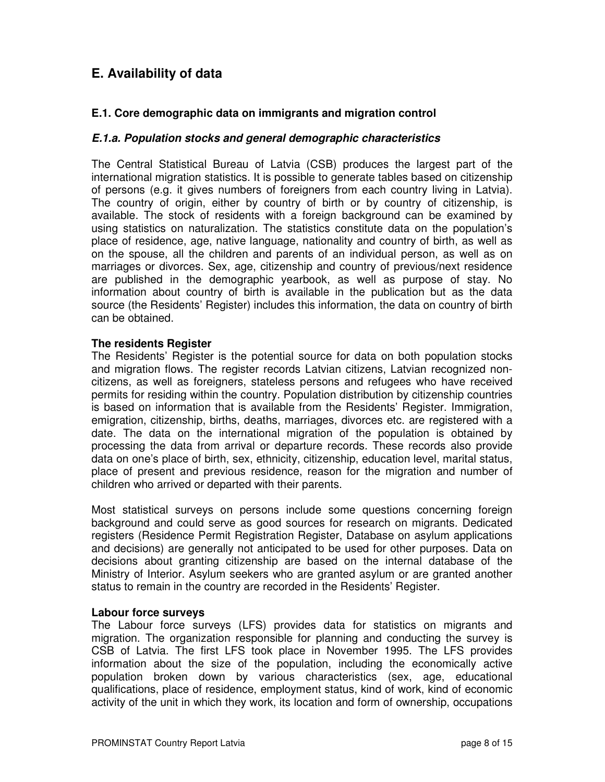# **E. Availability of data**

#### **E.1. Core demographic data on immigrants and migration control**

#### **E.1.a. Population stocks and general demographic characteristics**

The Central Statistical Bureau of Latvia (CSB) produces the largest part of the international migration statistics. It is possible to generate tables based on citizenship of persons (e.g. it gives numbers of foreigners from each country living in Latvia). The country of origin, either by country of birth or by country of citizenship, is available. The stock of residents with a foreign background can be examined by using statistics on naturalization. The statistics constitute data on the population's place of residence, age, native language, nationality and country of birth, as well as on the spouse, all the children and parents of an individual person, as well as on marriages or divorces. Sex, age, citizenship and country of previous/next residence are published in the demographic yearbook, as well as purpose of stay. No information about country of birth is available in the publication but as the data source (the Residents' Register) includes this information, the data on country of birth can be obtained.

#### **The residents Register**

The Residents' Register is the potential source for data on both population stocks and migration flows. The register records Latvian citizens, Latvian recognized noncitizens, as well as foreigners, stateless persons and refugees who have received permits for residing within the country. Population distribution by citizenship countries is based on information that is available from the Residents' Register. Immigration, emigration, citizenship, births, deaths, marriages, divorces etc. are registered with a date. The data on the international migration of the population is obtained by processing the data from arrival or departure records. These records also provide data on one's place of birth, sex, ethnicity, citizenship, education level, marital status, place of present and previous residence, reason for the migration and number of children who arrived or departed with their parents.

Most statistical surveys on persons include some questions concerning foreign background and could serve as good sources for research on migrants. Dedicated registers (Residence Permit Registration Register, Database on asylum applications and decisions) are generally not anticipated to be used for other purposes. Data on decisions about granting citizenship are based on the internal database of the Ministry of Interior. Asylum seekers who are granted asylum or are granted another status to remain in the country are recorded in the Residents' Register.

#### **Labour force surveys**

The Labour force surveys (LFS) provides data for statistics on migrants and migration. The organization responsible for planning and conducting the survey is CSB of Latvia. The first LFS took place in November 1995. The LFS provides information about the size of the population, including the economically active population broken down by various characteristics (sex, age, educational qualifications, place of residence, employment status, kind of work, kind of economic activity of the unit in which they work, its location and form of ownership, occupations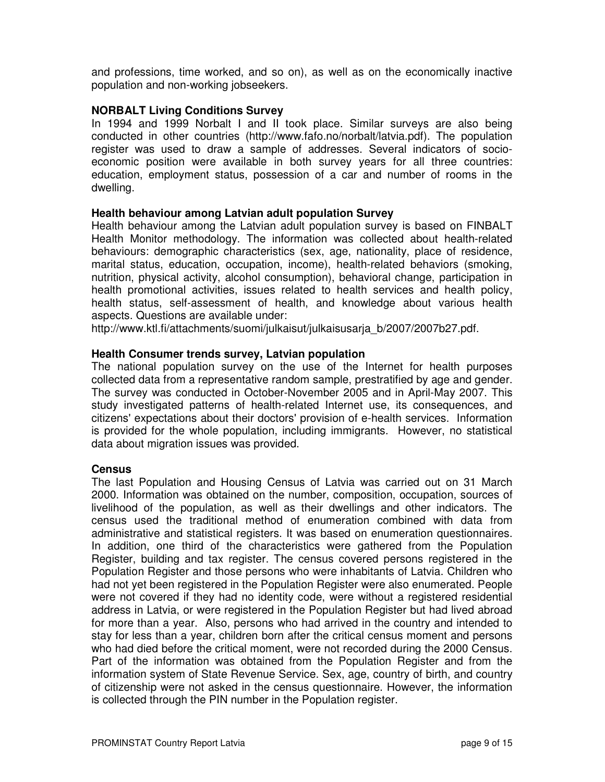and professions, time worked, and so on), as well as on the economically inactive population and non-working jobseekers.

#### **NORBALT Living Conditions Survey**

In 1994 and 1999 Norbalt I and II took place. Similar surveys are also being conducted in other countries (http://www.fafo.no/norbalt/latvia.pdf). The population register was used to draw a sample of addresses. Several indicators of socioeconomic position were available in both survey years for all three countries: education, employment status, possession of a car and number of rooms in the dwelling.

#### **Health behaviour among Latvian adult population Survey**

Health behaviour among the Latvian adult population survey is based on FINBALT Health Monitor methodology. The information was collected about health-related behaviours: demographic characteristics (sex, age, nationality, place of residence, marital status, education, occupation, income), health-related behaviors (smoking, nutrition, physical activity, alcohol consumption), behavioral change, participation in health promotional activities, issues related to health services and health policy, health status, self-assessment of health, and knowledge about various health aspects. Questions are available under:

http://www.ktl.fi/attachments/suomi/julkaisut/julkaisusarja\_b/2007/2007b27.pdf.

#### **Health Consumer trends survey, Latvian population**

The national population survey on the use of the Internet for health purposes collected data from a representative random sample, prestratified by age and gender. The survey was conducted in October-November 2005 and in April-May 2007. This study investigated patterns of health-related Internet use, its consequences, and citizens' expectations about their doctors' provision of e-health services. Information is provided for the whole population, including immigrants. However, no statistical data about migration issues was provided.

#### **Census**

The last Population and Housing Census of Latvia was carried out on 31 March 2000. Information was obtained on the number, composition, occupation, sources of livelihood of the population, as well as their dwellings and other indicators. The census used the traditional method of enumeration combined with data from administrative and statistical registers. It was based on enumeration questionnaires. In addition, one third of the characteristics were gathered from the Population Register, building and tax register. The census covered persons registered in the Population Register and those persons who were inhabitants of Latvia. Children who had not yet been registered in the Population Register were also enumerated. People were not covered if they had no identity code, were without a registered residential address in Latvia, or were registered in the Population Register but had lived abroad for more than a year. Also, persons who had arrived in the country and intended to stay for less than a year, children born after the critical census moment and persons who had died before the critical moment, were not recorded during the 2000 Census. Part of the information was obtained from the Population Register and from the information system of State Revenue Service. Sex, age, country of birth, and country of citizenship were not asked in the census questionnaire. However, the information is collected through the PIN number in the Population register.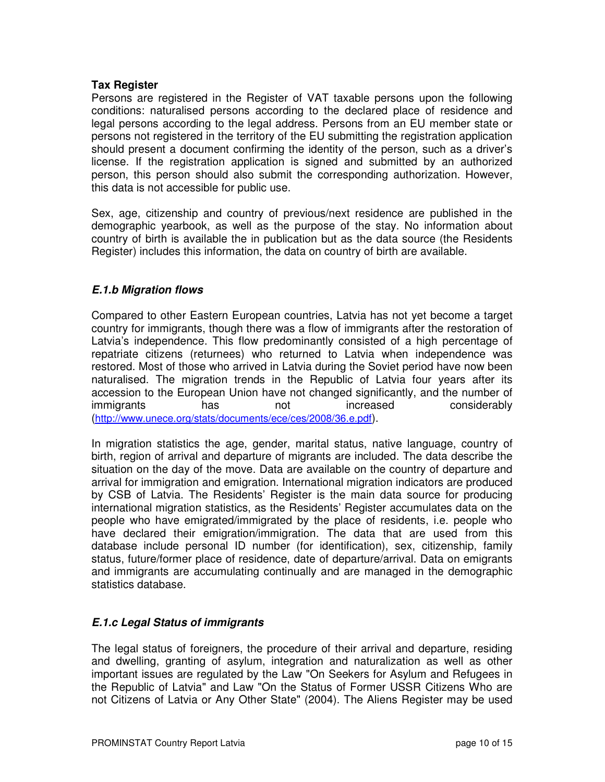#### **Tax Register**

Persons are registered in the Register of VAT taxable persons upon the following conditions: naturalised persons according to the declared place of residence and legal persons according to the legal address. Persons from an EU member state or persons not registered in the territory of the EU submitting the registration application should present a document confirming the identity of the person, such as a driver's license. If the registration application is signed and submitted by an authorized person, this person should also submit the corresponding authorization. However, this data is not accessible for public use.

Sex, age, citizenship and country of previous/next residence are published in the demographic yearbook, as well as the purpose of the stay. No information about country of birth is available the in publication but as the data source (the Residents Register) includes this information, the data on country of birth are available.

#### **E.1.b Migration flows**

Compared to other Eastern European countries, Latvia has not yet become a target country for immigrants, though there was a flow of immigrants after the restoration of Latvia's independence. This flow predominantly consisted of a high percentage of repatriate citizens (returnees) who returned to Latvia when independence was restored. Most of those who arrived in Latvia during the Soviet period have now been naturalised. The migration trends in the Republic of Latvia four years after its accession to the European Union have not changed significantly, and the number of immigrants has not increased considerably (http://www.unece.org/stats/documents/ece/ces/2008/36.e.pdf).

In migration statistics the age, gender, marital status, native language, country of birth, region of arrival and departure of migrants are included. The data describe the situation on the day of the move. Data are available on the country of departure and arrival for immigration and emigration. International migration indicators are produced by CSB of Latvia. The Residents' Register is the main data source for producing international migration statistics, as the Residents' Register accumulates data on the people who have emigrated/immigrated by the place of residents, i.e. people who have declared their emigration/immigration. The data that are used from this database include personal ID number (for identification), sex, citizenship, family status, future/former place of residence, date of departure/arrival. Data on emigrants and immigrants are accumulating continually and are managed in the demographic statistics database.

#### **E.1.c Legal Status of immigrants**

The legal status of foreigners, the procedure of their arrival and departure, residing and dwelling, granting of asylum, integration and naturalization as well as other important issues are regulated by the Law "On Seekers for Asylum and Refugees in the Republic of Latvia" and Law "On the Status of Former USSR Citizens Who are not Citizens of Latvia or Any Other State" (2004). The Aliens Register may be used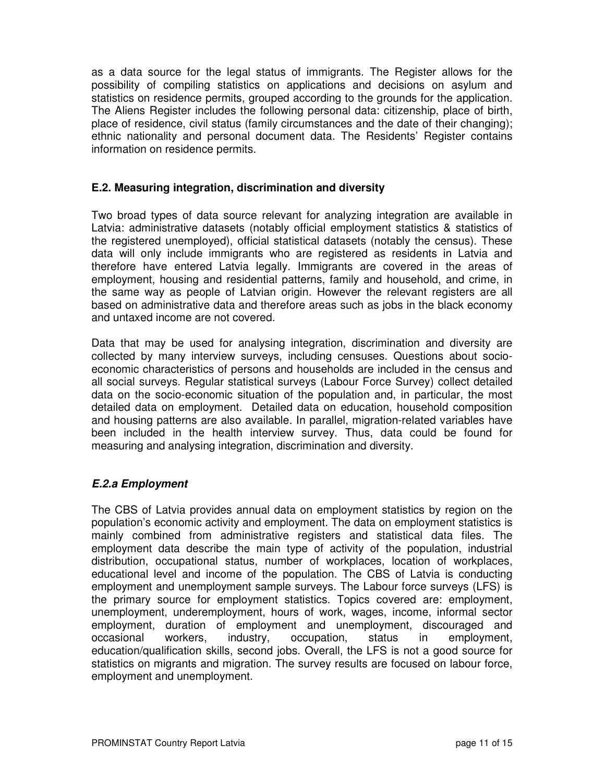as a data source for the legal status of immigrants. The Register allows for the possibility of compiling statistics on applications and decisions on asylum and statistics on residence permits, grouped according to the grounds for the application. The Aliens Register includes the following personal data: citizenship, place of birth, place of residence, civil status (family circumstances and the date of their changing); ethnic nationality and personal document data. The Residents' Register contains information on residence permits.

#### **E.2. Measuring integration, discrimination and diversity**

Two broad types of data source relevant for analyzing integration are available in Latvia: administrative datasets (notably official employment statistics & statistics of the registered unemployed), official statistical datasets (notably the census). These data will only include immigrants who are registered as residents in Latvia and therefore have entered Latvia legally. Immigrants are covered in the areas of employment, housing and residential patterns, family and household, and crime, in the same way as people of Latvian origin. However the relevant registers are all based on administrative data and therefore areas such as jobs in the black economy and untaxed income are not covered.

Data that may be used for analysing integration, discrimination and diversity are collected by many interview surveys, including censuses. Questions about socioeconomic characteristics of persons and households are included in the census and all social surveys. Regular statistical surveys (Labour Force Survey) collect detailed data on the socio-economic situation of the population and, in particular, the most detailed data on employment. Detailed data on education, household composition and housing patterns are also available. In parallel, migration-related variables have been included in the health interview survey. Thus, data could be found for measuring and analysing integration, discrimination and diversity.

#### **E.2.a Employment**

The CBS of Latvia provides annual data on employment statistics by region on the population's economic activity and employment. The data on employment statistics is mainly combined from administrative registers and statistical data files. The employment data describe the main type of activity of the population, industrial distribution, occupational status, number of workplaces, location of workplaces, educational level and income of the population. The CBS of Latvia is conducting employment and unemployment sample surveys. The Labour force surveys (LFS) is the primary source for employment statistics. Topics covered are: employment, unemployment, underemployment, hours of work, wages, income, informal sector employment, duration of employment and unemployment, discouraged and occasional workers, industry, occupation, status in employment, education/qualification skills, second jobs. Overall, the LFS is not a good source for statistics on migrants and migration. The survey results are focused on labour force, employment and unemployment.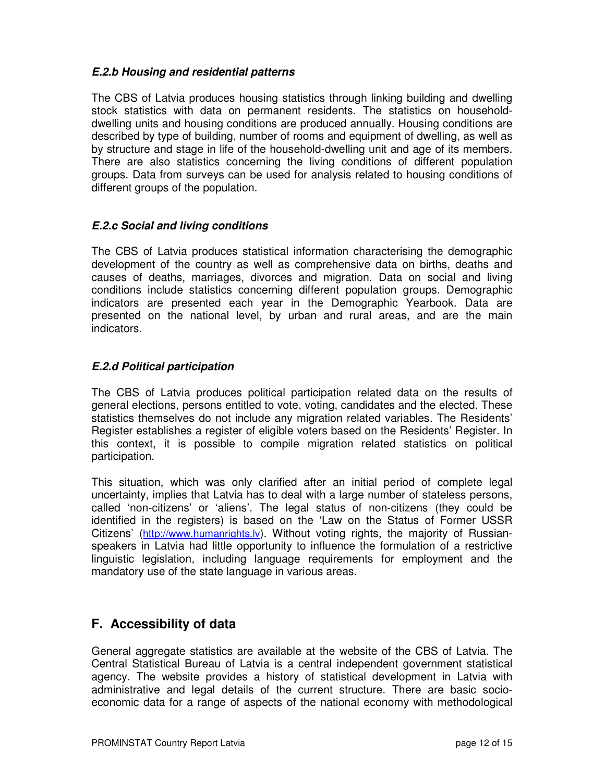#### **E.2.b Housing and residential patterns**

The CBS of Latvia produces housing statistics through linking building and dwelling stock statistics with data on permanent residents. The statistics on householddwelling units and housing conditions are produced annually. Housing conditions are described by type of building, number of rooms and equipment of dwelling, as well as by structure and stage in life of the household-dwelling unit and age of its members. There are also statistics concerning the living conditions of different population groups. Data from surveys can be used for analysis related to housing conditions of different groups of the population.

#### **E.2.c Social and living conditions**

The CBS of Latvia produces statistical information characterising the demographic development of the country as well as comprehensive data on births, deaths and causes of deaths, marriages, divorces and migration. Data on social and living conditions include statistics concerning different population groups. Demographic indicators are presented each year in the Demographic Yearbook. Data are presented on the national level, by urban and rural areas, and are the main indicators.

#### **E.2.d Political participation**

The CBS of Latvia produces political participation related data on the results of general elections, persons entitled to vote, voting, candidates and the elected. These statistics themselves do not include any migration related variables. The Residents' Register establishes a register of eligible voters based on the Residents' Register. In this context, it is possible to compile migration related statistics on political participation.

This situation, which was only clarified after an initial period of complete legal uncertainty, implies that Latvia has to deal with a large number of stateless persons, called 'non-citizens' or 'aliens'. The legal status of non-citizens (they could be identified in the registers) is based on the 'Law on the Status of Former USSR Citizens' (http://www.humanrights.lv). Without voting rights, the majority of Russianspeakers in Latvia had little opportunity to influence the formulation of a restrictive linguistic legislation, including language requirements for employment and the mandatory use of the state language in various areas.

# **F. Accessibility of data**

General aggregate statistics are available at the website of the CBS of Latvia. The Central Statistical Bureau of Latvia is a central independent government statistical agency. The website provides a history of statistical development in Latvia with administrative and legal details of the current structure. There are basic socioeconomic data for a range of aspects of the national economy with methodological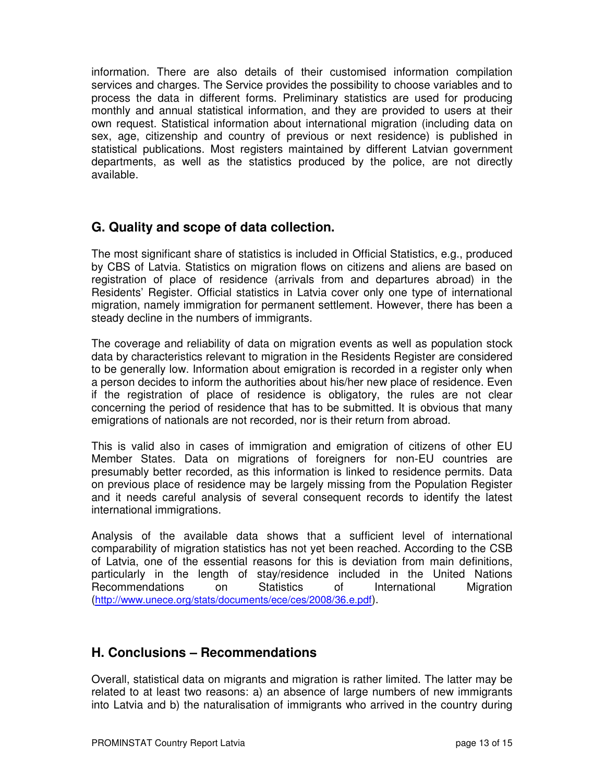information. There are also details of their customised information compilation services and charges. The Service provides the possibility to choose variables and to process the data in different forms. Preliminary statistics are used for producing monthly and annual statistical information, and they are provided to users at their own request. Statistical information about international migration (including data on sex, age, citizenship and country of previous or next residence) is published in statistical publications. Most registers maintained by different Latvian government departments, as well as the statistics produced by the police, are not directly available.

# **G. Quality and scope of data collection.**

The most significant share of statistics is included in Official Statistics, e.g., produced by CBS of Latvia. Statistics on migration flows on citizens and aliens are based on registration of place of residence (arrivals from and departures abroad) in the Residents' Register. Official statistics in Latvia cover only one type of international migration, namely immigration for permanent settlement. However, there has been a steady decline in the numbers of immigrants.

The coverage and reliability of data on migration events as well as population stock data by characteristics relevant to migration in the Residents Register are considered to be generally low. Information about emigration is recorded in a register only when a person decides to inform the authorities about his/her new place of residence. Even if the registration of place of residence is obligatory, the rules are not clear concerning the period of residence that has to be submitted. It is obvious that many emigrations of nationals are not recorded, nor is their return from abroad.

This is valid also in cases of immigration and emigration of citizens of other EU Member States. Data on migrations of foreigners for non-EU countries are presumably better recorded, as this information is linked to residence permits. Data on previous place of residence may be largely missing from the Population Register and it needs careful analysis of several consequent records to identify the latest international immigrations.

Analysis of the available data shows that a sufficient level of international comparability of migration statistics has not yet been reached. According to the CSB of Latvia, one of the essential reasons for this is deviation from main definitions, particularly in the length of stay/residence included in the United Nations Recommendations on Statistics of International Migration (http://www.unece.org/stats/documents/ece/ces/2008/36.e.pdf).

# **H. Conclusions – Recommendations**

Overall, statistical data on migrants and migration is rather limited. The latter may be related to at least two reasons: a) an absence of large numbers of new immigrants into Latvia and b) the naturalisation of immigrants who arrived in the country during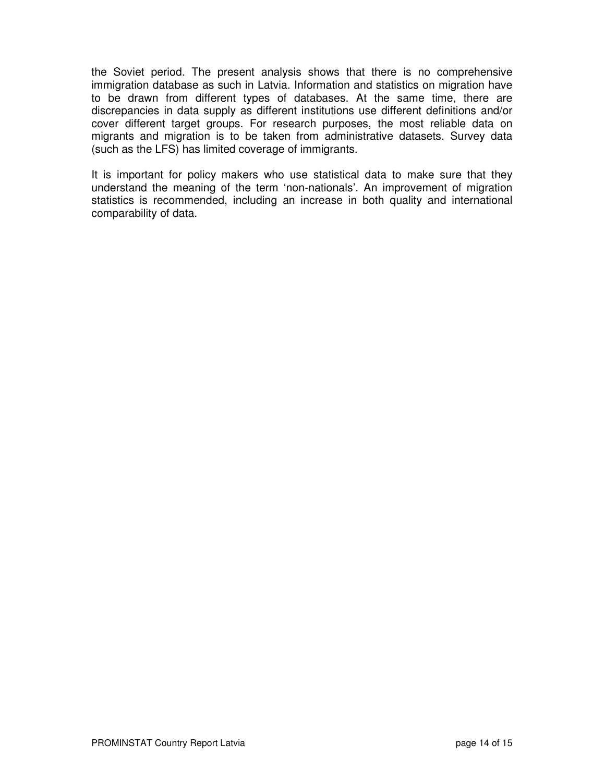the Soviet period. The present analysis shows that there is no comprehensive immigration database as such in Latvia. Information and statistics on migration have to be drawn from different types of databases. At the same time, there are discrepancies in data supply as different institutions use different definitions and/or cover different target groups. For research purposes, the most reliable data on migrants and migration is to be taken from administrative datasets. Survey data (such as the LFS) has limited coverage of immigrants.

It is important for policy makers who use statistical data to make sure that they understand the meaning of the term 'non-nationals'. An improvement of migration statistics is recommended, including an increase in both quality and international comparability of data.